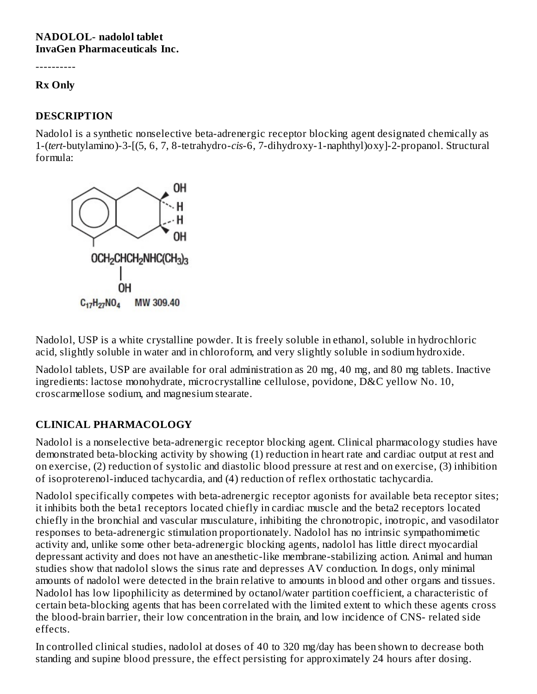#### **NADOLOL- nadolol tablet InvaGen Pharmaceuticals Inc.**

----------

#### **Rx Only**

#### **DESCRIPTION**

Nadolol is a synthetic nonselective beta-adrenergic receptor blocking agent designated chemically as 1-(*tert*-butylamino)-3-[(5, 6, 7, 8-tetrahydro-*cis*-6, 7-dihydroxy-1-naphthyl)oxy]-2-propanol. Structural formula:



Nadolol, USP is a white crystalline powder. It is freely soluble in ethanol, soluble in hydrochloric acid, slightly soluble in water and in chloroform, and very slightly soluble in sodium hydroxide.

Nadolol tablets, USP are available for oral administration as 20 mg, 40 mg, and 80 mg tablets. Inactive ingredients: lactose monohydrate, microcrystalline cellulose, povidone, D&C yellow No. 10, croscarmellose sodium, and magnesium stearate.

# **CLINICAL PHARMACOLOGY**

Nadolol is a nonselective beta-adrenergic receptor blocking agent. Clinical pharmacology studies have demonstrated beta-blocking activity by showing (1) reduction in heart rate and cardiac output at rest and on exercise, (2) reduction of systolic and diastolic blood pressure at rest and on exercise, (3) inhibition of isoproterenol-induced tachycardia, and (4) reduction of reflex orthostatic tachycardia.

Nadolol specifically competes with beta-adrenergic receptor agonists for available beta receptor sites; it inhibits both the beta1 receptors located chiefly in cardiac muscle and the beta2 receptors located chiefly in the bronchial and vascular musculature, inhibiting the chronotropic, inotropic, and vasodilator responses to beta-adrenergic stimulation proportionately. Nadolol has no intrinsic sympathomimetic activity and, unlike some other beta-adrenergic blocking agents, nadolol has little direct myocardial depressant activity and does not have an anesthetic-like membrane-stabilizing action. Animal and human studies show that nadolol slows the sinus rate and depresses AV conduction. In dogs, only minimal amounts of nadolol were detected in the brain relative to amounts in blood and other organs and tissues. Nadolol has low lipophilicity as determined by octanol/water partition coefficient, a characteristic of certain beta-blocking agents that has been correlated with the limited extent to which these agents cross the blood-brain barrier, their low concentration in the brain, and low incidence of CNS- related side effects.

In controlled clinical studies, nadolol at doses of 40 to 320 mg/day has been shown to decrease both standing and supine blood pressure, the effect persisting for approximately 24 hours after dosing.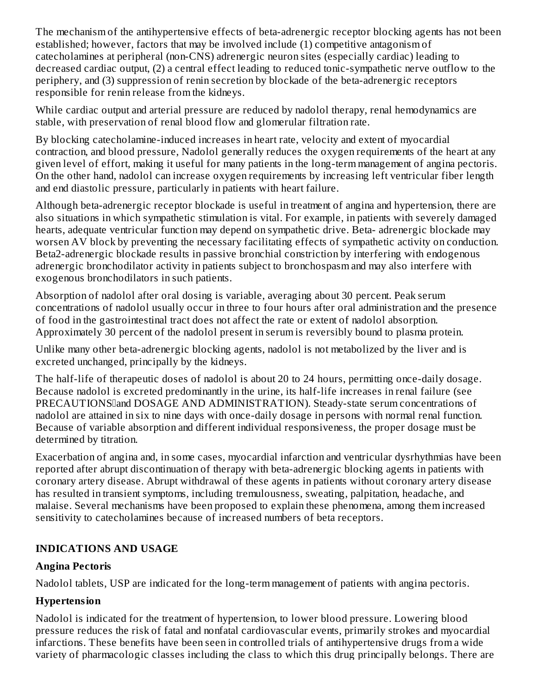The mechanism of the antihypertensive effects of beta-adrenergic receptor blocking agents has not been established; however, factors that may be involved include (1) competitive antagonism of catecholamines at peripheral (non-CNS) adrenergic neuron sites (especially cardiac) leading to decreased cardiac output, (2) a central effect leading to reduced tonic-sympathetic nerve outflow to the periphery, and (3) suppression of renin secretion by blockade of the beta-adrenergic receptors responsible for renin release from the kidneys.

While cardiac output and arterial pressure are reduced by nadolol therapy, renal hemodynamics are stable, with preservation of renal blood flow and glomerular filtration rate.

By blocking catecholamine-induced increases in heart rate, velocity and extent of myocardial contraction, and blood pressure, Nadolol generally reduces the oxygen requirements of the heart at any given level of effort, making it useful for many patients in the long-term management of angina pectoris. On the other hand, nadolol can increase oxygen requirements by increasing left ventricular fiber length and end diastolic pressure, particularly in patients with heart failure.

Although beta-adrenergic receptor blockade is useful in treatment of angina and hypertension, there are also situations in which sympathetic stimulation is vital. For example, in patients with severely damaged hearts, adequate ventricular function may depend on sympathetic drive. Beta- adrenergic blockade may worsen AV block by preventing the necessary facilitating effects of sympathetic activity on conduction. Beta2-adrenergic blockade results in passive bronchial constriction by interfering with endogenous adrenergic bronchodilator activity in patients subject to bronchospasm and may also interfere with exogenous bronchodilators in such patients.

Absorption of nadolol after oral dosing is variable, averaging about 30 percent. Peak serum concentrations of nadolol usually occur in three to four hours after oral administration and the presence of food in the gastrointestinal tract does not affect the rate or extent of nadolol absorption. Approximately 30 percent of the nadolol present in serum is reversibly bound to plasma protein.

Unlike many other beta-adrenergic blocking agents, nadolol is not metabolized by the liver and is excreted unchanged, principally by the kidneys.

The half-life of therapeutic doses of nadolol is about 20 to 24 hours, permitting once-daily dosage. Because nadolol is excreted predominantly in the urine, its half-life increases in renal failure (see PRECAUTIONSIand DOSAGE AND ADMINISTRATION). Steady-state serum concentrations of nadolol are attained in six to nine days with once-daily dosage in persons with normal renal function. Because of variable absorption and different individual responsiveness, the proper dosage must be determined by titration.

Exacerbation of angina and, in some cases, myocardial infarction and ventricular dysrhythmias have been reported after abrupt discontinuation of therapy with beta-adrenergic blocking agents in patients with coronary artery disease. Abrupt withdrawal of these agents in patients without coronary artery disease has resulted in transient symptoms, including tremulousness, sweating, palpitation, headache, and malaise. Several mechanisms have been proposed to explain these phenomena, among them increased sensitivity to catecholamines because of increased numbers of beta receptors.

#### **INDICATIONS AND USAGE**

#### **Angina Pectoris**

Nadolol tablets, USP are indicated for the long-term management of patients with angina pectoris.

# **Hypertension**

Nadolol is indicated for the treatment of hypertension, to lower blood pressure. Lowering blood pressure reduces the risk of fatal and nonfatal cardiovascular events, primarily strokes and myocardial infarctions. These benefits have been seen in controlled trials of antihypertensive drugs from a wide variety of pharmacologic classes including the class to which this drug principally belongs. There are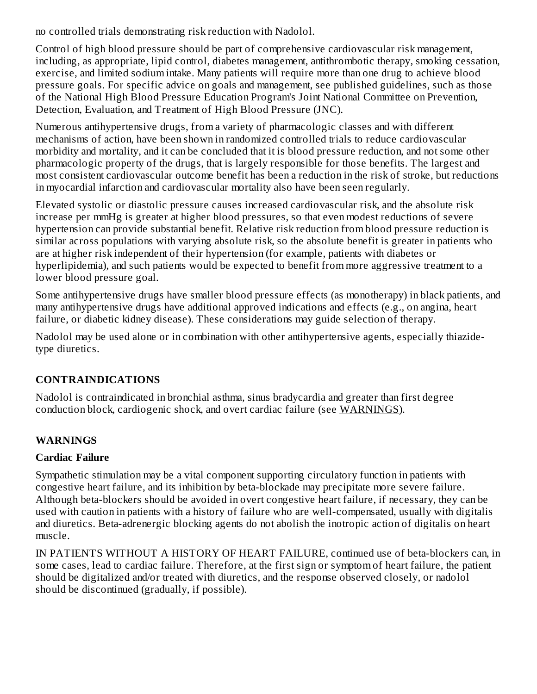no controlled trials demonstrating risk reduction with Nadolol.

Control of high blood pressure should be part of comprehensive cardiovascular risk management, including, as appropriate, lipid control, diabetes management, antithrombotic therapy, smoking cessation, exercise, and limited sodium intake. Many patients will require more than one drug to achieve blood pressure goals. For specific advice on goals and management, see published guidelines, such as those of the National High Blood Pressure Education Program's Joint National Committee on Prevention, Detection, Evaluation, and Treatment of High Blood Pressure (JNC).

Numerous antihypertensive drugs, from a variety of pharmacologic classes and with different mechanisms of action, have been shown in randomized controlled trials to reduce cardiovascular morbidity and mortality, and it can be concluded that it is blood pressure reduction, and not some other pharmacologic property of the drugs, that is largely responsible for those benefits. The largest and most consistent cardiovascular outcome benefit has been a reduction in the risk of stroke, but reductions in myocardial infarction and cardiovascular mortality also have been seen regularly.

Elevated systolic or diastolic pressure causes increased cardiovascular risk, and the absolute risk increase per mmHg is greater at higher blood pressures, so that even modest reductions of severe hypertension can provide substantial benefit. Relative risk reduction from blood pressure reduction is similar across populations with varying absolute risk, so the absolute benefit is greater in patients who are at higher risk independent of their hypertension (for example, patients with diabetes or hyperlipidemia), and such patients would be expected to benefit from more aggressive treatment to a lower blood pressure goal.

Some antihypertensive drugs have smaller blood pressure effects (as monotherapy) in black patients, and many antihypertensive drugs have additional approved indications and effects (e.g., on angina, heart failure, or diabetic kidney disease). These considerations may guide selection of therapy.

Nadolol may be used alone or in combination with other antihypertensive agents, especially thiazidetype diuretics.

# **CONTRAINDICATIONS**

Nadolol is contraindicated in bronchial asthma, sinus bradycardia and greater than first degree conduction block, cardiogenic shock, and overt cardiac failure (see WARNINGS).

# **WARNINGS**

# **Cardiac Failure**

Sympathetic stimulation may be a vital component supporting circulatory function in patients with congestive heart failure, and its inhibition by beta-blockade may precipitate more severe failure. Although beta-blockers should be avoided in overt congestive heart failure, if necessary, they can be used with caution in patients with a history of failure who are well-compensated, usually with digitalis and diuretics. Beta-adrenergic blocking agents do not abolish the inotropic action of digitalis on heart muscle.

IN PATIENTS WITHOUT A HISTORY OF HEART FAILURE, continued use of beta-blockers can, in some cases, lead to cardiac failure. Therefore, at the first sign or symptom of heart failure, the patient should be digitalized and/or treated with diuretics, and the response observed closely, or nadolol should be discontinued (gradually, if possible).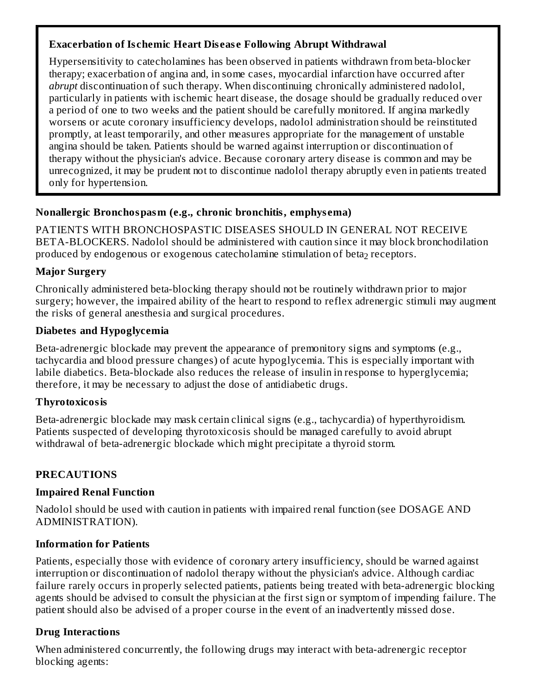#### **Exacerbation of Is chemic Heart Dis eas e Following Abrupt Withdrawal**

Hypersensitivity to catecholamines has been observed in patients withdrawn from beta-blocker therapy; exacerbation of angina and, in some cases, myocardial infarction have occurred after *abrupt* discontinuation of such therapy. When discontinuing chronically administered nadolol, particularly in patients with ischemic heart disease, the dosage should be gradually reduced over a period of one to two weeks and the patient should be carefully monitored. If angina markedly worsens or acute coronary insufficiency develops, nadolol administration should be reinstituted promptly, at least temporarily, and other measures appropriate for the management of unstable angina should be taken. Patients should be warned against interruption or discontinuation of therapy without the physician's advice. Because coronary artery disease is common and may be unrecognized, it may be prudent not to discontinue nadolol therapy abruptly even in patients treated only for hypertension.

# **Nonallergic Bronchospasm (e.g., chronic bronchitis, emphys ema)**

PATIENTS WITH BRONCHOSPASTIC DISEASES SHOULD IN GENERAL NOT RECEIVE BETA-BLOCKERS. Nadolol should be administered with caution since it may block bronchodilation produced by endogenous or exogenous catecholamine stimulation of beta $_2$  receptors.

# **Major Surgery**

Chronically administered beta-blocking therapy should not be routinely withdrawn prior to major surgery; however, the impaired ability of the heart to respond to reflex adrenergic stimuli may augment the risks of general anesthesia and surgical procedures.

# **Diabetes and Hypoglycemia**

Beta-adrenergic blockade may prevent the appearance of premonitory signs and symptoms (e.g., tachycardia and blood pressure changes) of acute hypoglycemia. This is especially important with labile diabetics. Beta-blockade also reduces the release of insulin in response to hyperglycemia; therefore, it may be necessary to adjust the dose of antidiabetic drugs.

# **Thyrotoxicosis**

Beta-adrenergic blockade may mask certain clinical signs (e.g., tachycardia) of hyperthyroidism. Patients suspected of developing thyrotoxicosis should be managed carefully to avoid abrupt withdrawal of beta-adrenergic blockade which might precipitate a thyroid storm.

# **PRECAUTIONS**

# **Impaired Renal Function**

Nadolol should be used with caution in patients with impaired renal function (see DOSAGE AND ADMINISTRATION).

# **Information for Patients**

Patients, especially those with evidence of coronary artery insufficiency, should be warned against interruption or discontinuation of nadolol therapy without the physician's advice. Although cardiac failure rarely occurs in properly selected patients, patients being treated with beta-adrenergic blocking agents should be advised to consult the physician at the first sign or symptom of impending failure. The patient should also be advised of a proper course in the event of an inadvertently missed dose.

# **Drug Interactions**

When administered concurrently, the following drugs may interact with beta-adrenergic receptor blocking agents: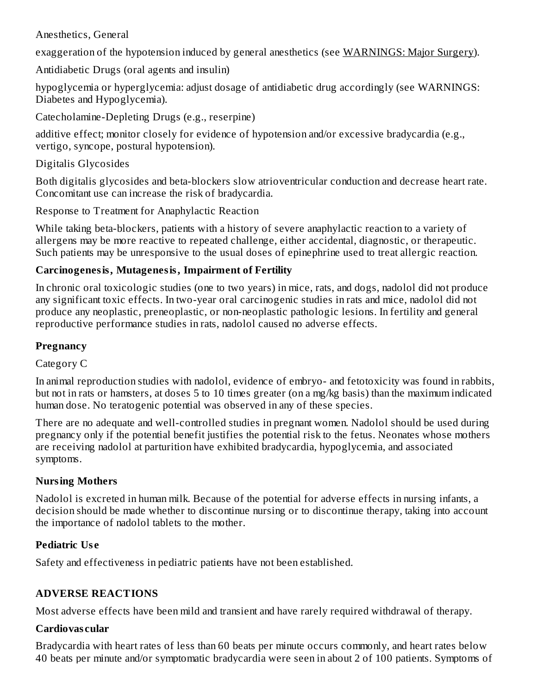#### Anesthetics, General

exaggeration of the hypotension induced by general anesthetics (see WARNINGS: Major Surgery).

Antidiabetic Drugs (oral agents and insulin)

hypoglycemia or hyperglycemia: adjust dosage of antidiabetic drug accordingly (see WARNINGS: Diabetes and Hypoglycemia).

Catecholamine-Depleting Drugs (e.g., reserpine)

additive effect; monitor closely for evidence of hypotension and/or excessive bradycardia (e.g., vertigo, syncope, postural hypotension).

Digitalis Glycosides

Both digitalis glycosides and beta-blockers slow atrioventricular conduction and decrease heart rate. Concomitant use can increase the risk of bradycardia.

Response to Treatment for Anaphylactic Reaction

While taking beta-blockers, patients with a history of severe anaphylactic reaction to a variety of allergens may be more reactive to repeated challenge, either accidental, diagnostic, or therapeutic. Such patients may be unresponsive to the usual doses of epinephrine used to treat allergic reaction.

# **Carcinogenesis, Mutagenesis, Impairment of Fertility**

In chronic oral toxicologic studies (one to two years) in mice, rats, and dogs, nadolol did not produce any significant toxic effects. In two-year oral carcinogenic studies in rats and mice, nadolol did not produce any neoplastic, preneoplastic, or non-neoplastic pathologic lesions. In fertility and general reproductive performance studies in rats, nadolol caused no adverse effects.

# **Pregnancy**

Category C

In animal reproduction studies with nadolol, evidence of embryo- and fetotoxicity was found in rabbits, but not in rats or hamsters, at doses 5 to 10 times greater (on a mg/kg basis) than the maximum indicated human dose. No teratogenic potential was observed in any of these species.

There are no adequate and well-controlled studies in pregnant women. Nadolol should be used during pregnancy only if the potential benefit justifies the potential risk to the fetus. Neonates whose mothers are receiving nadolol at parturition have exhibited bradycardia, hypoglycemia, and associated symptoms.

# **Nursing Mothers**

Nadolol is excreted in human milk. Because of the potential for adverse effects in nursing infants, a decision should be made whether to discontinue nursing or to discontinue therapy, taking into account the importance of nadolol tablets to the mother.

# **Pediatric Us e**

Safety and effectiveness in pediatric patients have not been established.

# **ADVERSE REACTIONS**

Most adverse effects have been mild and transient and have rarely required withdrawal of therapy.

# **Cardiovas cular**

Bradycardia with heart rates of less than 60 beats per minute occurs commonly, and heart rates below 40 beats per minute and/or symptomatic bradycardia were seen in about 2 of 100 patients. Symptoms of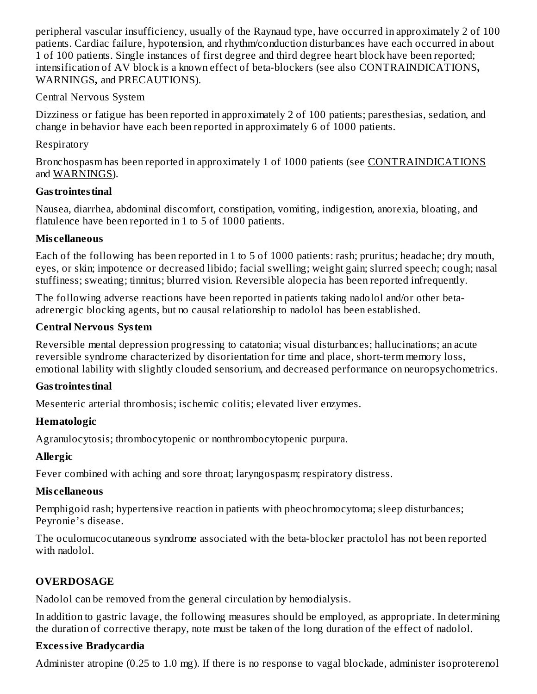peripheral vascular insufficiency, usually of the Raynaud type, have occurred in approximately 2 of 100 patients. Cardiac failure, hypotension, and rhythm/conduction disturbances have each occurred in about 1 of 100 patients. Single instances of first degree and third degree heart block have been reported; intensification of AV block is a known effect of beta-blockers (see also CONTRAINDICATIONS**,** WARNINGS**,** and PRECAUTIONS).

#### Central Nervous System

Dizziness or fatigue has been reported in approximately 2 of 100 patients; paresthesias, sedation, and change in behavior have each been reported in approximately 6 of 1000 patients.

# Respiratory

Bronchospasm has been reported in approximately 1 of 1000 patients (see CONTRAINDICATIONS and WARNINGS).

#### **Gastrointestinal**

Nausea, diarrhea, abdominal discomfort, constipation, vomiting, indigestion, anorexia, bloating, and flatulence have been reported in 1 to 5 of 1000 patients.

#### **Mis cellaneous**

Each of the following has been reported in 1 to 5 of 1000 patients: rash; pruritus; headache; dry mouth, eyes, or skin; impotence or decreased libido; facial swelling; weight gain; slurred speech; cough; nasal stuffiness; sweating; tinnitus; blurred vision. Reversible alopecia has been reported infrequently.

The following adverse reactions have been reported in patients taking nadolol and/or other betaadrenergic blocking agents, but no causal relationship to nadolol has been established.

# **Central Nervous System**

Reversible mental depression progressing to catatonia; visual disturbances; hallucinations; an acute reversible syndrome characterized by disorientation for time and place, short-term memory loss, emotional lability with slightly clouded sensorium, and decreased performance on neuropsychometrics.

# **Gastrointestinal**

Mesenteric arterial thrombosis; ischemic colitis; elevated liver enzymes.

# **Hematologic**

Agranulocytosis; thrombocytopenic or nonthrombocytopenic purpura.

# **Allergic**

Fever combined with aching and sore throat; laryngospasm; respiratory distress.

# **Mis cellaneous**

Pemphigoid rash; hypertensive reaction in patients with pheochromocytoma; sleep disturbances; Peyronie's disease.

The oculomucocutaneous syndrome associated with the beta-blocker practolol has not been reported with nadolol.

# **OVERDOSAGE**

Nadolol can be removed from the general circulation by hemodialysis.

In addition to gastric lavage, the following measures should be employed, as appropriate. In determining the duration of corrective therapy, note must be taken of the long duration of the effect of nadolol.

# **Excessive Bradycardia**

Administer atropine (0.25 to 1.0 mg). If there is no response to vagal blockade, administer isoproterenol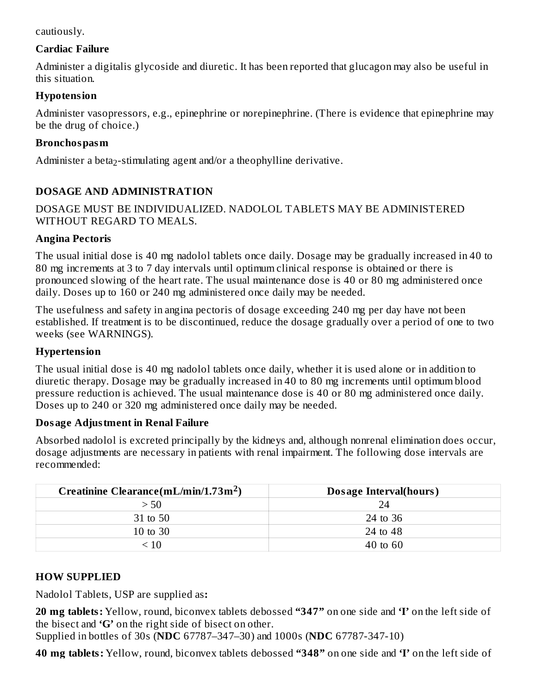cautiously.

#### **Cardiac Failure**

Administer a digitalis glycoside and diuretic. It has been reported that glucagon may also be useful in this situation.

#### **Hypotension**

Administer vasopressors, e.g., epinephrine or norepinephrine. (There is evidence that epinephrine may be the drug of choice.)

#### **Bronchospasm**

Administer a beta<sub>2</sub>-stimulating agent and/or a theophylline derivative.

# **DOSAGE AND ADMINISTRATION**

DOSAGE MUST BE INDIVIDUALIZED. NADOLOL TABLETS MAY BE ADMINISTERED WITHOUT REGARD TO MEALS.

#### **Angina Pectoris**

The usual initial dose is 40 mg nadolol tablets once daily. Dosage may be gradually increased in 40 to 80 mg increments at 3 to 7 day intervals until optimum clinical response is obtained or there is pronounced slowing of the heart rate. The usual maintenance dose is 40 or 80 mg administered once daily. Doses up to 160 or 240 mg administered once daily may be needed.

The usefulness and safety in angina pectoris of dosage exceeding 240 mg per day have not been established. If treatment is to be discontinued, reduce the dosage gradually over a period of one to two weeks (see WARNINGS).

#### **Hypertension**

The usual initial dose is 40 mg nadolol tablets once daily, whether it is used alone or in addition to diuretic therapy. Dosage may be gradually increased in 40 to 80 mg increments until optimum blood pressure reduction is achieved. The usual maintenance dose is 40 or 80 mg administered once daily. Doses up to 240 or 320 mg administered once daily may be needed.

#### **Dosage Adjustment in Renal Failure**

Absorbed nadolol is excreted principally by the kidneys and, although nonrenal elimination does occur, dosage adjustments are necessary in patients with renal impairment. The following dose intervals are recommended:

| Creatinine Clearance $(mL/min/1.73m2)$ | Dosage Interval(hours) |
|----------------------------------------|------------------------|
| > 50                                   | 24                     |
| 31 to 50                               | 24 to 36               |
| 10 to 30                               | 24 to 48               |
| 〔10                                    | 40 to 60               |

# **HOW SUPPLIED**

Nadolol Tablets, USP are supplied as**:**

**20 mg tablets:** Yellow, round, biconvex tablets debossed **"347"** on one side and **'I'** on the left side of the bisect and **'G'** on the right side of bisect on other.

Supplied in bottles of 30s (**NDC** 67787–347–30) and 1000s (**NDC** 67787-347-10)

**40 mg tablets:** Yellow, round, biconvex tablets debossed **"348"** on one side and **'I'** on the left side of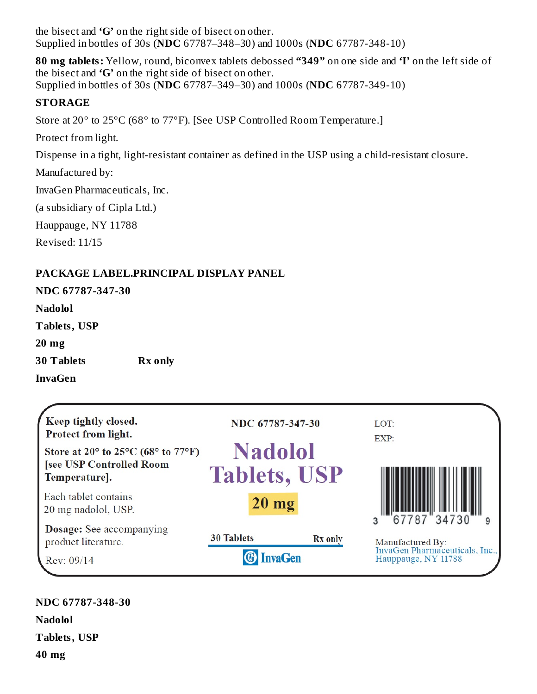the bisect and **'G'** on the right side of bisect on other. Supplied in bottles of 30s (**NDC** 67787–348–30) and 1000s (**NDC** 67787-348-10)

**80 mg tablets:** Yellow, round, biconvex tablets debossed **"349"** on one side and **'I'** on the left side of the bisect and **'G'** on the right side of bisect on other. Supplied in bottles of 30s (**NDC** 67787–349–30) and 1000s (**NDC** 67787-349-10)

#### **STORAGE**

Store at 20° to 25°C (68° to 77°F). [See USP Controlled Room Temperature.]

Protect from light.

Dispense in a tight, light-resistant container as defined in the USP using a child-resistant closure.

Manufactured by:

InvaGen Pharmaceuticals, Inc.

(a subsidiary of Cipla Ltd.)

Hauppauge, NY 11788

Revised: 11/15

#### **PACKAGE LABEL.PRINCIPAL DISPLAY PANEL**

**Rx only** 

| NDC 67787-347-30    |
|---------------------|
| <b>Nadolol</b>      |
| <b>Tablets, USP</b> |
| $20 \text{ mg}$     |
| <b>30 Tablets</b>   |
| InvaGen             |



**NDC 67787-348-30 Nadolol Tablets, USP 40 mg**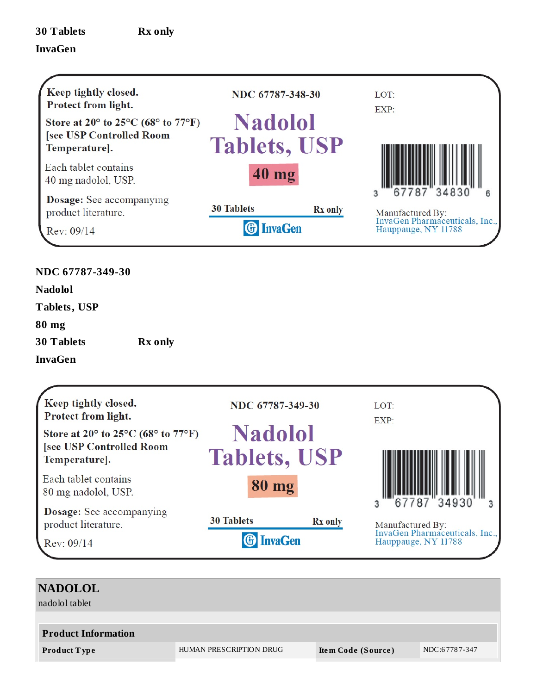#### **InvaGen**



# **NDC 67787-349-30**

| <b>Nadolol</b>      |                |  |  |  |
|---------------------|----------------|--|--|--|
| <b>Tablets, USP</b> |                |  |  |  |
| 80 mg               |                |  |  |  |
| <b>30 Tablets</b>   | <b>Rx</b> only |  |  |  |
| <b>InvaGen</b>      |                |  |  |  |

| Keep tightly closed.<br><b>Protect from light.</b><br>Store at 20 $\degree$ to 25 $\degree$ C (68 $\degree$ to 77 $\degree$ F)<br>[see USP Controlled Room | NDC 67787-349-30<br><b>Nadolol</b>                   | LOT:<br>EXP:                                                              |
|------------------------------------------------------------------------------------------------------------------------------------------------------------|------------------------------------------------------|---------------------------------------------------------------------------|
| Temperature].<br>Each tablet contains<br>80 mg nadolol, USP.                                                                                               | <b>Tablets, USP</b><br>$80$ mg                       | 34930<br>67787                                                            |
| <b>Dosage:</b> See accompanying<br>product literature.<br>Rec: 09/14                                                                                       | <b>30 Tablets</b><br><b>Rx</b> only<br><b>AvaGen</b> | Manufactured By:<br>InvaGen Pharmaceuticals, Inc.,<br>Hauppauge, NY 11788 |

| <b>NADOLOL</b><br>nadolol tablet |                         |                    |               |
|----------------------------------|-------------------------|--------------------|---------------|
| <b>Product Information</b>       |                         |                    |               |
| <b>Product Type</b>              | HUMAN PRESCRIPTION DRUG | Item Code (Source) | NDC:67787-347 |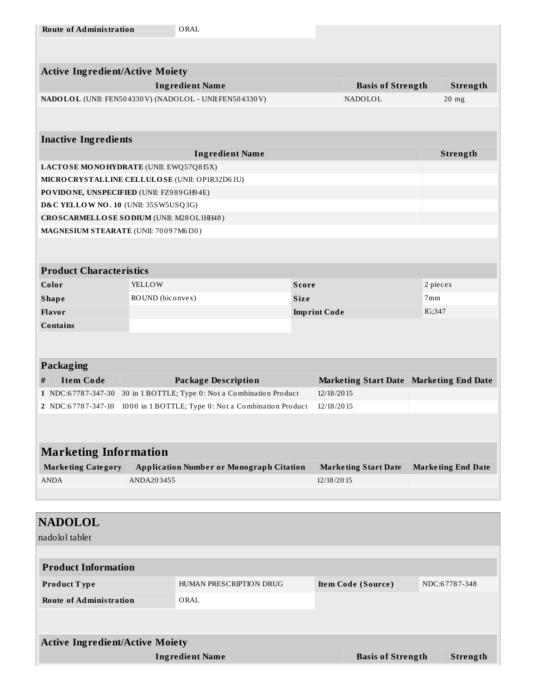| <b>Active Ingredient/Active Moiety</b><br><b>Ingredient Name</b><br><b>Ingredient Name</b><br>YELLOW<br>ROUND (biconvex)<br><b>Item Code</b><br><b>Package Description</b><br>30 in 1 BOTTLE; Type 0: Not a Combination Product<br>1 NDC:67787-347-30<br>1000 in 1 BOTTLE; Type 0: Not a Combination Product<br>2 NDC:67787-347-10                            |              | <b>Basis of Strength</b><br>NADOLOL       | Strength<br>$20$ mg<br>Strength |
|---------------------------------------------------------------------------------------------------------------------------------------------------------------------------------------------------------------------------------------------------------------------------------------------------------------------------------------------------------------|--------------|-------------------------------------------|---------------------------------|
|                                                                                                                                                                                                                                                                                                                                                               |              |                                           |                                 |
|                                                                                                                                                                                                                                                                                                                                                               |              |                                           |                                 |
| NADOLOL (UNII: FEN504330V) (NADOLOL - UNII:FEN504330V)                                                                                                                                                                                                                                                                                                        |              |                                           |                                 |
| <b>Inactive Ingredients</b><br>LACTOSE MONOHYDRATE (UNII: EWQ57Q8I5X)<br>MICRO CRYSTALLINE CELLULO SE (UNII: OP1R32D61U)<br>PO VIDONE, UNSPECIFIED (UNII: FZ989GH94E)<br>D&C YELLOW NO. 10 (UNII: 35SW5USQ3G)<br>CROSCARMELLOSE SODIUM (UNII: M28OL1HH48)<br>MAGNESIUM STEARATE (UNII: 70097M6I30)<br>Color<br><b>Shape</b><br>Flavor<br><b>Contains</b><br># |              |                                           |                                 |
|                                                                                                                                                                                                                                                                                                                                                               |              |                                           |                                 |
|                                                                                                                                                                                                                                                                                                                                                               |              |                                           |                                 |
|                                                                                                                                                                                                                                                                                                                                                               |              |                                           |                                 |
|                                                                                                                                                                                                                                                                                                                                                               |              |                                           |                                 |
|                                                                                                                                                                                                                                                                                                                                                               |              |                                           |                                 |
|                                                                                                                                                                                                                                                                                                                                                               |              |                                           |                                 |
| <b>Product Characteristics</b><br><b>Packaging</b>                                                                                                                                                                                                                                                                                                            |              |                                           |                                 |
|                                                                                                                                                                                                                                                                                                                                                               |              |                                           |                                 |
|                                                                                                                                                                                                                                                                                                                                                               |              |                                           |                                 |
|                                                                                                                                                                                                                                                                                                                                                               |              |                                           |                                 |
|                                                                                                                                                                                                                                                                                                                                                               | <b>Score</b> |                                           | 2 pieces                        |
|                                                                                                                                                                                                                                                                                                                                                               | <b>Size</b>  |                                           | 7mm                             |
|                                                                                                                                                                                                                                                                                                                                                               |              | <b>Imprint Code</b>                       | IG;347                          |
|                                                                                                                                                                                                                                                                                                                                                               |              |                                           |                                 |
|                                                                                                                                                                                                                                                                                                                                                               |              |                                           |                                 |
|                                                                                                                                                                                                                                                                                                                                                               |              |                                           |                                 |
|                                                                                                                                                                                                                                                                                                                                                               |              | Marketing Start Date   Marketing End Date |                                 |
|                                                                                                                                                                                                                                                                                                                                                               |              | 12/18/2015                                |                                 |
|                                                                                                                                                                                                                                                                                                                                                               |              | 12/18/2015                                |                                 |
|                                                                                                                                                                                                                                                                                                                                                               |              |                                           |                                 |
| <b>Marketing Information</b>                                                                                                                                                                                                                                                                                                                                  |              |                                           |                                 |
|                                                                                                                                                                                                                                                                                                                                                               |              |                                           |                                 |
| <b>Marketing Category</b><br><b>Application Number or Monograph Citation</b>                                                                                                                                                                                                                                                                                  |              |                                           | <b>Marketing End Date</b>       |
| <b>ANDA</b><br>ANDA203455                                                                                                                                                                                                                                                                                                                                     |              | <b>Marketing Start Date</b>               |                                 |
|                                                                                                                                                                                                                                                                                                                                                               |              | 12/18/2015                                |                                 |

| <b>INADULUL</b>                        |                         |                          |               |
|----------------------------------------|-------------------------|--------------------------|---------------|
| nadolo] tablet                         |                         |                          |               |
|                                        |                         |                          |               |
| <b>Product Information</b>             |                         |                          |               |
| <b>Product Type</b>                    | HUMAN PRESCRIPTION DRUG | Item Code (Source)       | NDC:67787-348 |
| <b>Route of Administration</b>         | ORAL                    |                          |               |
|                                        |                         |                          |               |
|                                        |                         |                          |               |
| <b>Active Ingredient/Active Moiety</b> |                         |                          |               |
|                                        | <b>Ingredient Name</b>  | <b>Basis of Strength</b> | Strength      |
|                                        |                         |                          |               |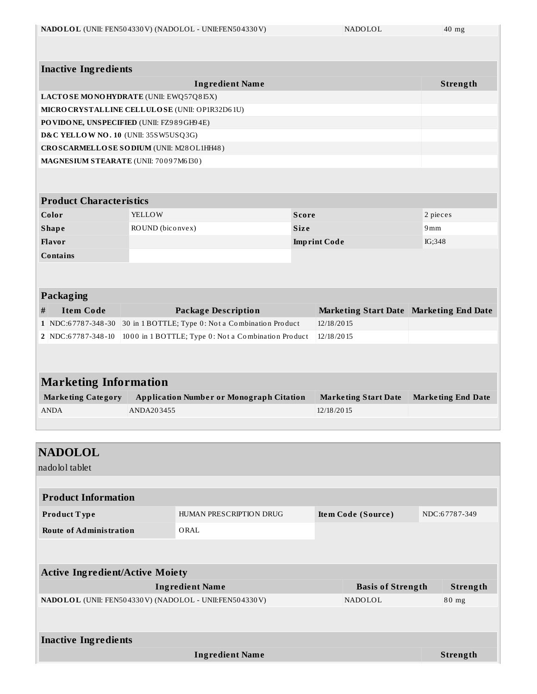|                                      | NADOLOL (UNII: FEN504330V) (NADOLOL - UNII:FEN504330V) |                     | <b>NADOLOL</b>                          | $40$ mg                   |
|--------------------------------------|--------------------------------------------------------|---------------------|-----------------------------------------|---------------------------|
|                                      |                                                        |                     |                                         |                           |
| <b>Inactive Ingredients</b>          |                                                        |                     |                                         |                           |
|                                      | <b>Ingredient Name</b>                                 |                     |                                         | Strength                  |
|                                      | LACTOSE MONOHYDRATE (UNII: EWQ57Q8I5X)                 |                     |                                         |                           |
|                                      | MICRO CRYSTALLINE CELLULO SE (UNII: OP1R32D61U)        |                     |                                         |                           |
|                                      | PO VIDONE, UNSPECIFIED (UNII: FZ989GH94E)              |                     |                                         |                           |
| D&C YELLOW NO. 10 (UNII: 35SW5USQ3G) |                                                        |                     |                                         |                           |
|                                      | CROSCARMELLOSE SODIUM (UNII: M28OL1HH48)               |                     |                                         |                           |
|                                      | MAGNESIUM STEARATE (UNII: 70097M6I30)                  |                     |                                         |                           |
|                                      |                                                        |                     |                                         |                           |
|                                      |                                                        |                     |                                         |                           |
| <b>Product Characteristics</b>       |                                                        |                     |                                         |                           |
| Color                                | <b>YELLOW</b>                                          | <b>Score</b>        |                                         | 2 pieces                  |
| <b>Shape</b>                         | ROUND (biconvex)                                       | <b>Size</b>         |                                         | 9mm                       |
| <b>Flavor</b>                        |                                                        | <b>Imprint Code</b> |                                         | IG;348                    |
| Contains                             |                                                        |                     |                                         |                           |
|                                      |                                                        |                     |                                         |                           |
|                                      |                                                        |                     |                                         |                           |
| Packaging                            |                                                        |                     |                                         |                           |
| <b>Item Code</b><br>$\#$             | <b>Package Description</b>                             |                     | Marketing Start Date Marketing End Date |                           |
| 1 NDC:67787-348-30                   | 30 in 1 BOTTLE; Type 0: Not a Combination Product      |                     | 12/18/2015                              |                           |
| 2 NDC:67787-348-10                   | 1000 in 1 BOTTLE; Type 0: Not a Combination Product    |                     | 12/18/2015                              |                           |
|                                      |                                                        |                     |                                         |                           |
|                                      |                                                        |                     |                                         |                           |
|                                      |                                                        |                     |                                         |                           |
| <b>Marketing Information</b>         |                                                        |                     |                                         |                           |
| <b>Marketing Category</b>            | <b>Application Number or Monograph Citation</b>        |                     | <b>Marketing Start Date</b>             | <b>Marketing End Date</b> |
| <b>ANDA</b>                          | ANDA203455                                             |                     | 12/18/2015                              |                           |
|                                      |                                                        |                     |                                         |                           |

| <b>NADOLOL</b>                                         |                         |                          |               |  |  |  |
|--------------------------------------------------------|-------------------------|--------------------------|---------------|--|--|--|
| nadolol tablet                                         |                         |                          |               |  |  |  |
|                                                        |                         |                          |               |  |  |  |
| <b>Product Information</b>                             |                         |                          |               |  |  |  |
| Product Type                                           | HUMAN PRESCRIPTION DRUG | Item Code (Source)       | NDC:67787-349 |  |  |  |
| <b>Route of Administration</b>                         | ORAL                    |                          |               |  |  |  |
|                                                        |                         |                          |               |  |  |  |
| <b>Active Ingredient/Active Moiety</b>                 |                         |                          |               |  |  |  |
|                                                        | <b>Ingredient Name</b>  | <b>Basis of Strength</b> | Strength      |  |  |  |
| NADOLOL (UNII: FEN504330V) (NADOLOL - UNII:FEN504330V) |                         | NADOLOL                  | $80$ mg       |  |  |  |
|                                                        |                         |                          |               |  |  |  |
| <b>Inactive Ingredients</b>                            |                         |                          |               |  |  |  |
|                                                        | <b>Ingredient Name</b>  |                          | Strength      |  |  |  |